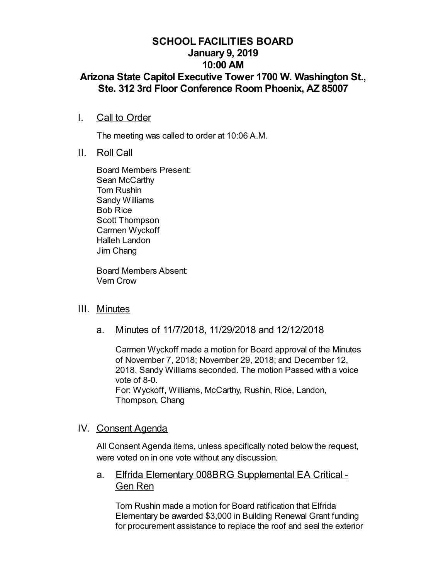# **SCHOOL FACILITIES BOARD January 9, 2019 10:00 AM**

# **Arizona State Capitol Executive Tower 1700 W. Washington St., Ste. 312 3rd Floor Conference Room Phoenix, AZ 85007**

I. Call to Order

The meeting was called to order at 10:06 A.M.

II. Roll Call

Board Members Present: Sean McCarthy Tom Rushin Sandy Williams Bob Rice Scott Thompson Carmen Wyckoff Halleh Landon Jim Chang

Board Members Absent: Vern Crow

## III. Minutes

a. Minutes of 11/7/2018, 11/29/2018 and 12/12/2018

Carmen Wyckoff made a motion for Board approval of the Minutes of November 7, 2018; November 29, 2018; and December 12, 2018. Sandy Williams seconded. The motion Passed with a voice vote of 8-0. For: Wyckoff, Williams, McCarthy, Rushin, Rice, Landon,

Thompson, Chang

## IV. Consent Agenda

All Consent Agenda items, unless specifically noted below the request, were voted on in one vote without any discussion.

a. Elfrida Elementary 008BRG Supplemental EA Critical -Gen Ren

Tom Rushin made a motion for Board ratification that Elfrida Elementary be awarded \$3,000 in Building Renewal Grant funding for procurement assistance to replace the roof and seal the exterior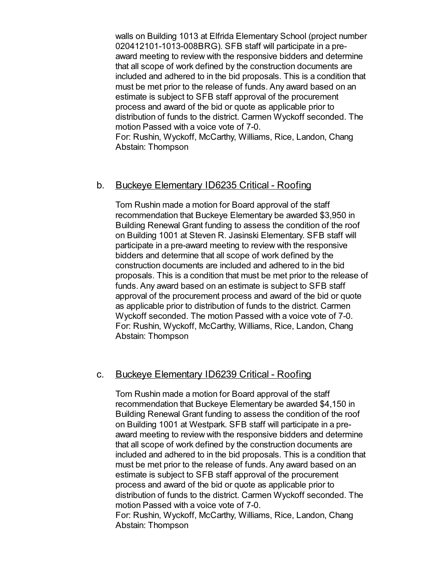walls on Building 1013 at Elfrida Elementary School (project number 020412101-1013-008BRG). SFB staff will participate in a preaward meeting to review with the responsive bidders and determine that all scope of work defined by the construction documents are included and adhered to in the bid proposals. This is a condition that must be met prior to the release of funds. Any award based on an estimate is subject to SFB staff approval of the procurement process and award of the bid or quote as applicable prior to distribution of funds to the district. Carmen Wyckoff seconded. The motion Passed with a voice vote of 7-0. For: Rushin, Wyckoff, McCarthy, Williams, Rice, Landon, Chang

Abstain: Thompson

#### b. Buckeye Elementary ID6235 Critical - Roofing

Tom Rushin made a motion for Board approval of the staff recommendation that Buckeye Elementary be awarded \$3,950 in Building Renewal Grant funding to assess the condition of the roof on Building 1001 at Steven R. Jasinski Elementary. SFB staff will participate in a pre-award meeting to review with the responsive bidders and determine that all scope of work defined by the construction documents are included and adhered to in the bid proposals. This is a condition that must be met prior to the release of funds. Any award based on an estimate is subject to SFB staff approval of the procurement process and award of the bid or quote as applicable prior to distribution of funds to the district. Carmen Wyckoff seconded. The motion Passed with a voice vote of 7-0. For: Rushin, Wyckoff, McCarthy, Williams, Rice, Landon, Chang Abstain: Thompson

## c. Buckeye Elementary ID6239 Critical - Roofing

Tom Rushin made a motion for Board approval of the staff recommendation that Buckeye Elementary be awarded \$4,150 in Building Renewal Grant funding to assess the condition of the roof on Building 1001 at Westpark. SFB staff will participate in a preaward meeting to review with the responsive bidders and determine that all scope of work defined by the construction documents are included and adhered to in the bid proposals. This is a condition that must be met prior to the release of funds. Any award based on an estimate is subject to SFB staff approval of the procurement process and award of the bid or quote as applicable prior to distribution of funds to the district. Carmen Wyckoff seconded. The motion Passed with a voice vote of 7-0. For: Rushin, Wyckoff, McCarthy, Williams, Rice, Landon, Chang Abstain: Thompson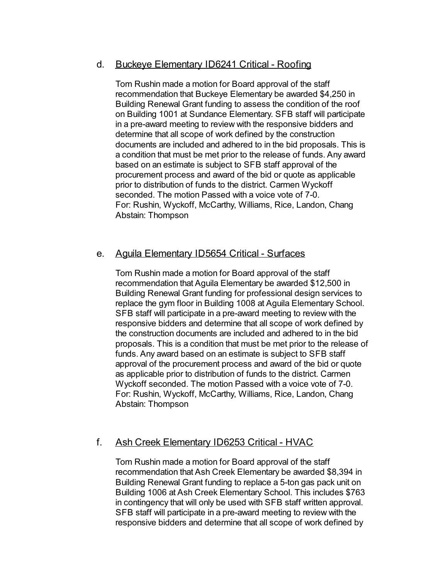## d. Buckeye Elementary ID6241 Critical - Roofing

Tom Rushin made a motion for Board approval of the staff recommendation that Buckeye Elementary be awarded \$4,250 in Building Renewal Grant funding to assess the condition of the roof on Building 1001 at Sundance Elementary. SFB staff will participate in a pre-award meeting to review with the responsive bidders and determine that all scope of work defined by the construction documents are included and adhered to in the bid proposals. This is a condition that must be met prior to the release of funds. Any award based on an estimate is subject to SFB staff approval of the procurement process and award of the bid or quote as applicable prior to distribution of funds to the district. Carmen Wyckoff seconded. The motion Passed with a voice vote of 7-0. For: Rushin, Wyckoff, McCarthy, Williams, Rice, Landon, Chang Abstain: Thompson

## e. Aguila Elementary ID5654 Critical - Surfaces

Tom Rushin made a motion for Board approval of the staff recommendation that Aguila Elementary be awarded \$12,500 in Building Renewal Grant funding for professional design services to replace the gym floor in Building 1008 at Aguila Elementary School. SFB staff will participate in a pre-award meeting to review with the responsive bidders and determine that all scope of work defined by the construction documents are included and adhered to in the bid proposals. This is a condition that must be met prior to the release of funds. Any award based on an estimate is subject to SFB staff approval of the procurement process and award of the bid or quote as applicable prior to distribution of funds to the district. Carmen Wyckoff seconded. The motion Passed with a voice vote of 7-0. For: Rushin, Wyckoff, McCarthy, Williams, Rice, Landon, Chang Abstain: Thompson

## f. Ash Creek Elementary ID6253 Critical - HVAC

Tom Rushin made a motion for Board approval of the staff recommendation that Ash Creek Elementary be awarded \$8,394 in Building Renewal Grant funding to replace a 5-ton gas pack unit on Building 1006 at Ash Creek Elementary School. This includes \$763 in contingency that will only be used with SFB staff written approval. SFB staff will participate in a pre-award meeting to review with the responsive bidders and determine that all scope of work defined by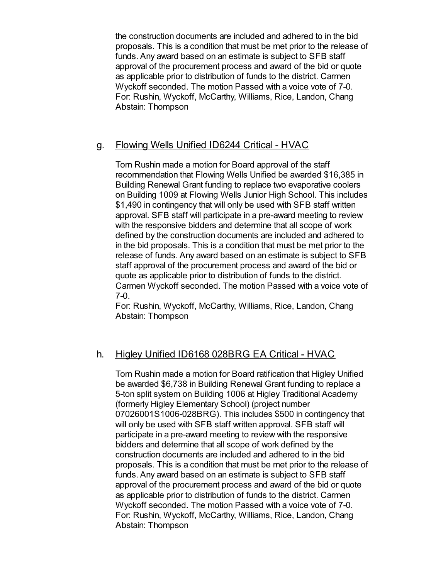the construction documents are included and adhered to in the bid proposals. This is a condition that must be met prior to the release of funds. Any award based on an estimate is subject to SFB staff approval of the procurement process and award of the bid or quote as applicable prior to distribution of funds to the district. Carmen Wyckoff seconded. The motion Passed with a voice vote of 7-0. For: Rushin, Wyckoff, McCarthy, Williams, Rice, Landon, Chang Abstain: Thompson

## g. Flowing Wells Unified ID6244 Critical - HVAC

Tom Rushin made a motion for Board approval of the staff recommendation that Flowing Wells Unified be awarded \$16,385 in Building Renewal Grant funding to replace two evaporative coolers on Building 1009 at Flowing Wells Junior High School. This includes \$1,490 in contingency that will only be used with SFB staff written approval. SFB staff will participate in a pre-award meeting to review with the responsive bidders and determine that all scope of work defined by the construction documents are included and adhered to in the bid proposals. This is a condition that must be met prior to the release of funds. Any award based on an estimate is subject to SFB staff approval of the procurement process and award of the bid or quote as applicable prior to distribution of funds to the district. Carmen Wyckoff seconded. The motion Passed with a voice vote of 7-0.

For: Rushin, Wyckoff, McCarthy, Williams, Rice, Landon, Chang Abstain: Thompson

## h. Higley Unified ID6168 028BRG EA Critical - HVAC

Tom Rushin made a motion for Board ratification that Higley Unified be awarded \$6,738 in Building Renewal Grant funding to replace a 5-ton split system on Building 1006 at Higley Traditional Academy (formerly Higley Elementary School) (project number 07026001S1006-028BRG). This includes \$500 in contingency that will only be used with SFB staff written approval. SFB staff will participate in a pre-award meeting to review with the responsive bidders and determine that all scope of work defined by the construction documents are included and adhered to in the bid proposals. This is a condition that must be met prior to the release of funds. Any award based on an estimate is subject to SFB staff approval of the procurement process and award of the bid or quote as applicable prior to distribution of funds to the district. Carmen Wyckoff seconded. The motion Passed with a voice vote of 7-0. For: Rushin, Wyckoff, McCarthy, Williams, Rice, Landon, Chang Abstain: Thompson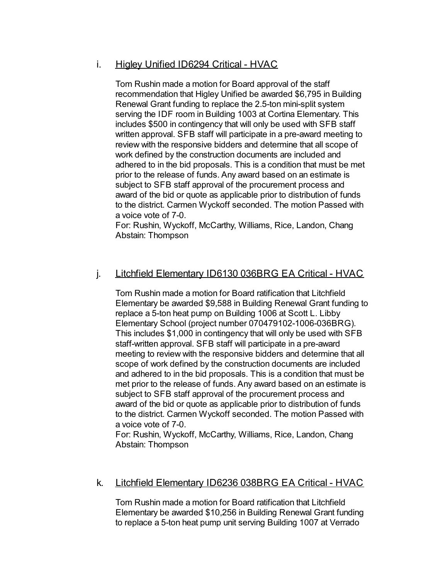## i. Higley Unified ID6294 Critical - HVAC

Tom Rushin made a motion for Board approval of the staff recommendation that Higley Unified be awarded \$6,795 in Building Renewal Grant funding to replace the 2.5-ton mini-split system serving the IDF room in Building 1003 at Cortina Elementary. This includes \$500 in contingency that will only be used with SFB staff written approval. SFB staff will participate in a pre-award meeting to review with the responsive bidders and determine that all scope of work defined by the construction documents are included and adhered to in the bid proposals. This is a condition that must be met prior to the release of funds. Any award based on an estimate is subject to SFB staff approval of the procurement process and award of the bid or quote as applicable prior to distribution of funds to the district. Carmen Wyckoff seconded. The motion Passed with a voice vote of 7-0.

For: Rushin, Wyckoff, McCarthy, Williams, Rice, Landon, Chang Abstain: Thompson

## j. Litchfield Elementary ID6130 036BRG EA Critical - HVAC

Tom Rushin made a motion for Board ratification that Litchfield Elementary be awarded \$9,588 in Building Renewal Grant funding to replace a 5-ton heat pump on Building 1006 at Scott L. Libby Elementary School (project number 070479102-1006-036BRG). This includes \$1,000 in contingency that will only be used with SFB staff-written approval. SFB staff will participate in a pre-award meeting to review with the responsive bidders and determine that all scope of work defined by the construction documents are included and adhered to in the bid proposals. This is a condition that must be met prior to the release of funds. Any award based on an estimate is subject to SFB staff approval of the procurement process and award of the bid or quote as applicable prior to distribution of funds to the district. Carmen Wyckoff seconded. The motion Passed with a voice vote of 7-0.

For: Rushin, Wyckoff, McCarthy, Williams, Rice, Landon, Chang Abstain: Thompson

#### k. Litchfield Elementary ID6236 038BRG EA Critical - HVAC

Tom Rushin made a motion for Board ratification that Litchfield Elementary be awarded \$10,256 in Building Renewal Grant funding to replace a 5-ton heat pump unit serving Building 1007 at Verrado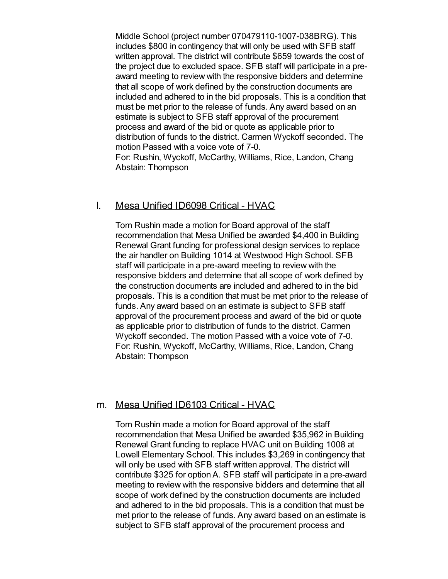Middle School (project number 070479110-1007-038BRG). This includes \$800 in contingency that will only be used with SFB staff written approval. The district will contribute \$659 towards the cost of the project due to excluded space. SFB staff will participate in a preaward meeting to review with the responsive bidders and determine that all scope of work defined by the construction documents are included and adhered to in the bid proposals. This is a condition that must be met prior to the release of funds. Any award based on an estimate is subject to SFB staff approval of the procurement process and award of the bid or quote as applicable prior to distribution of funds to the district. Carmen Wyckoff seconded. The motion Passed with a voice vote of 7-0. For: Rushin, Wyckoff, McCarthy, Williams, Rice, Landon, Chang Abstain: Thompson

#### l. Mesa Unified ID6098 Critical - HVAC

Tom Rushin made a motion for Board approval of the staff recommendation that Mesa Unified be awarded \$4,400 in Building Renewal Grant funding for professional design services to replace the air handler on Building 1014 at Westwood High School. SFB staff will participate in a pre-award meeting to review with the responsive bidders and determine that all scope of work defined by the construction documents are included and adhered to in the bid proposals. This is a condition that must be met prior to the release of funds. Any award based on an estimate is subject to SFB staff approval of the procurement process and award of the bid or quote as applicable prior to distribution of funds to the district. Carmen Wyckoff seconded. The motion Passed with a voice vote of 7-0. For: Rushin, Wyckoff, McCarthy, Williams, Rice, Landon, Chang Abstain: Thompson

#### m. Mesa Unified ID6103 Critical - HVAC

Tom Rushin made a motion for Board approval of the staff recommendation that Mesa Unified be awarded \$35,962 in Building Renewal Grant funding to replace HVAC unit on Building 1008 at Lowell Elementary School. This includes \$3,269 in contingency that will only be used with SFB staff written approval. The district will contribute \$325 for option A. SFB staff will participate in a pre-award meeting to review with the responsive bidders and determine that all scope of work defined by the construction documents are included and adhered to in the bid proposals. This is a condition that must be met prior to the release of funds. Any award based on an estimate is subject to SFB staff approval of the procurement process and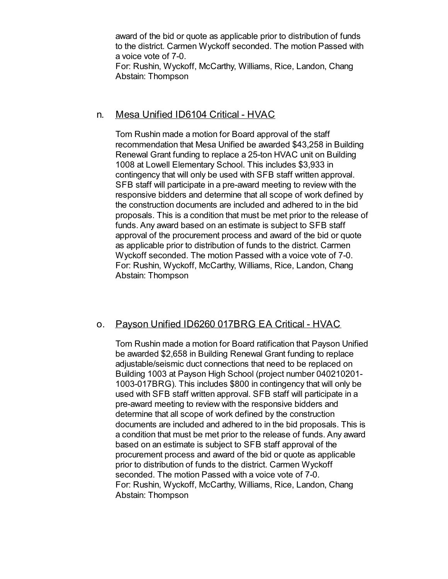award of the bid or quote as applicable prior to distribution of funds to the district. Carmen Wyckoff seconded. The motion Passed with a voice vote of 7-0. For: Rushin, Wyckoff, McCarthy, Williams, Rice, Landon, Chang

Abstain: Thompson

## n. Mesa Unified ID6104 Critical - HVAC

Tom Rushin made a motion for Board approval of the staff recommendation that Mesa Unified be awarded \$43,258 in Building Renewal Grant funding to replace a 25-ton HVAC unit on Building 1008 at Lowell Elementary School. This includes \$3,933 in contingency that will only be used with SFB staff written approval. SFB staff will participate in a pre-award meeting to review with the responsive bidders and determine that all scope of work defined by the construction documents are included and adhered to in the bid proposals. This is a condition that must be met prior to the release of funds. Any award based on an estimate is subject to SFB staff approval of the procurement process and award of the bid or quote as applicable prior to distribution of funds to the district. Carmen Wyckoff seconded. The motion Passed with a voice vote of 7-0. For: Rushin, Wyckoff, McCarthy, Williams, Rice, Landon, Chang Abstain: Thompson

# o. Payson Unified ID6260 017BRG EA Critical - HVAC

Tom Rushin made a motion for Board ratification that Payson Unified be awarded \$2,658 in Building Renewal Grant funding to replace adjustable/seismic duct connections that need to be replaced on Building 1003 at Payson High School (project number 040210201- 1003-017BRG). This includes \$800 in contingency that will only be used with SFB staff written approval. SFB staff will participate in a pre-award meeting to review with the responsive bidders and determine that all scope of work defined by the construction documents are included and adhered to in the bid proposals. This is a condition that must be met prior to the release of funds. Any award based on an estimate is subject to SFB staff approval of the procurement process and award of the bid or quote as applicable prior to distribution of funds to the district. Carmen Wyckoff seconded. The motion Passed with a voice vote of 7-0. For: Rushin, Wyckoff, McCarthy, Williams, Rice, Landon, Chang Abstain: Thompson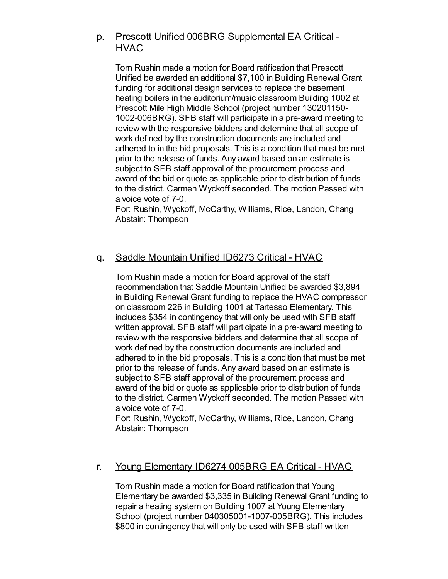# p. Prescott Unified 006BRG Supplemental EA Critical - **HVAC**

Tom Rushin made a motion for Board ratification that Prescott Unified be awarded an additional \$7,100 in Building Renewal Grant funding for additional design services to replace the basement heating boilers in the auditorium/music classroom Building 1002 at Prescott Mile High Middle School (project number 130201150- 1002-006BRG). SFB staff will participate in a pre-award meeting to review with the responsive bidders and determine that all scope of work defined by the construction documents are included and adhered to in the bid proposals. This is a condition that must be met prior to the release of funds. Any award based on an estimate is subject to SFB staff approval of the procurement process and award of the bid or quote as applicable prior to distribution of funds to the district. Carmen Wyckoff seconded. The motion Passed with a voice vote of 7-0.

For: Rushin, Wyckoff, McCarthy, Williams, Rice, Landon, Chang Abstain: Thompson

# q. Saddle Mountain Unified ID6273 Critical - HVAC

Tom Rushin made a motion for Board approval of the staff recommendation that Saddle Mountain Unified be awarded \$3,894 in Building Renewal Grant funding to replace the HVAC compressor on classroom 226 in Building 1001 at Tartesso Elementary. This includes \$354 in contingency that will only be used with SFB staff written approval. SFB staff will participate in a pre-award meeting to review with the responsive bidders and determine that all scope of work defined by the construction documents are included and adhered to in the bid proposals. This is a condition that must be met prior to the release of funds. Any award based on an estimate is subject to SFB staff approval of the procurement process and award of the bid or quote as applicable prior to distribution of funds to the district. Carmen Wyckoff seconded. The motion Passed with a voice vote of 7-0.

For: Rushin, Wyckoff, McCarthy, Williams, Rice, Landon, Chang Abstain: Thompson

## r. Young Elementary ID6274 005BRG EA Critical - HVAC

Tom Rushin made a motion for Board ratification that Young Elementary be awarded \$3,335 in Building Renewal Grant funding to repair a heating system on Building 1007 at Young Elementary School (project number 040305001-1007-005BRG). This includes \$800 in contingency that will only be used with SFB staff written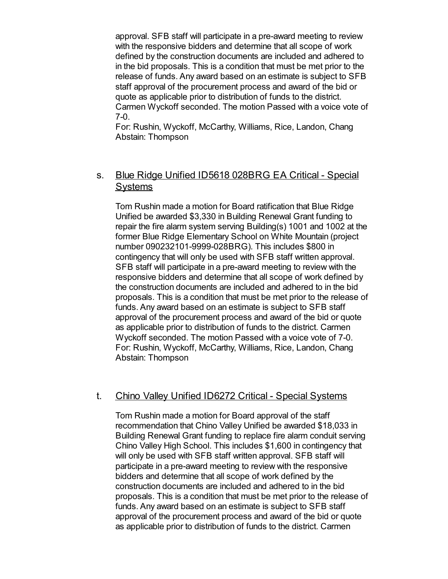approval. SFB staff will participate in a pre-award meeting to review with the responsive bidders and determine that all scope of work defined by the construction documents are included and adhered to in the bid proposals. This is a condition that must be met prior to the release of funds. Any award based on an estimate is subject to SFB staff approval of the procurement process and award of the bid or quote as applicable prior to distribution of funds to the district. Carmen Wyckoff seconded. The motion Passed with a voice vote of 7-0.

For: Rushin, Wyckoff, McCarthy, Williams, Rice, Landon, Chang Abstain: Thompson

## s. Blue Ridge Unified ID5618 028BRG EA Critical - Special **Systems**

Tom Rushin made a motion for Board ratification that Blue Ridge Unified be awarded \$3,330 in Building Renewal Grant funding to repair the fire alarm system serving Building(s) 1001 and 1002 at the former Blue Ridge Elementary School on White Mountain (project number 090232101-9999-028BRG). This includes \$800 in contingency that will only be used with SFB staff written approval. SFB staff will participate in a pre-award meeting to review with the responsive bidders and determine that all scope of work defined by the construction documents are included and adhered to in the bid proposals. This is a condition that must be met prior to the release of funds. Any award based on an estimate is subject to SFB staff approval of the procurement process and award of the bid or quote as applicable prior to distribution of funds to the district. Carmen Wyckoff seconded. The motion Passed with a voice vote of 7-0. For: Rushin, Wyckoff, McCarthy, Williams, Rice, Landon, Chang Abstain: Thompson

## t. Chino Valley Unified ID6272 Critical - Special Systems

Tom Rushin made a motion for Board approval of the staff recommendation that Chino Valley Unified be awarded \$18,033 in Building Renewal Grant funding to replace fire alarm conduit serving Chino Valley High School. This includes \$1,600 in contingency that will only be used with SFB staff written approval. SFB staff will participate in a pre-award meeting to review with the responsive bidders and determine that all scope of work defined by the construction documents are included and adhered to in the bid proposals. This is a condition that must be met prior to the release of funds. Any award based on an estimate is subject to SFB staff approval of the procurement process and award of the bid or quote as applicable prior to distribution of funds to the district. Carmen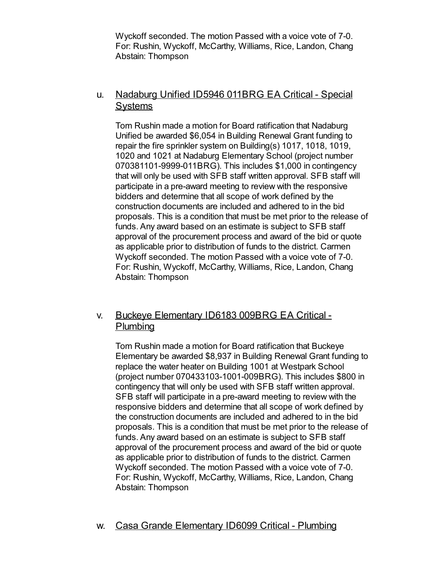Wyckoff seconded. The motion Passed with a voice vote of 7-0. For: Rushin, Wyckoff, McCarthy, Williams, Rice, Landon, Chang Abstain: Thompson

## u. Nadaburg Unified ID5946 011BRG EA Critical - Special **Systems**

Tom Rushin made a motion for Board ratification that Nadaburg Unified be awarded \$6,054 in Building Renewal Grant funding to repair the fire sprinkler system on Building(s) 1017, 1018, 1019, 1020 and 1021 at Nadaburg Elementary School (project number 070381101-9999-011BRG). This includes \$1,000 in contingency that will only be used with SFB staff written approval. SFB staff will participate in a pre-award meeting to review with the responsive bidders and determine that all scope of work defined by the construction documents are included and adhered to in the bid proposals. This is a condition that must be met prior to the release of funds. Any award based on an estimate is subject to SFB staff approval of the procurement process and award of the bid or quote as applicable prior to distribution of funds to the district. Carmen Wyckoff seconded. The motion Passed with a voice vote of 7-0. For: Rushin, Wyckoff, McCarthy, Williams, Rice, Landon, Chang Abstain: Thompson

## v. Buckeye Elementary ID6183 009BRG EA Critical - **Plumbing**

Tom Rushin made a motion for Board ratification that Buckeye Elementary be awarded \$8,937 in Building Renewal Grant funding to replace the water heater on Building 1001 at Westpark School (project number 070433103-1001-009BRG). This includes \$800 in contingency that will only be used with SFB staff written approval. SFB staff will participate in a pre-award meeting to review with the responsive bidders and determine that all scope of work defined by the construction documents are included and adhered to in the bid proposals. This is a condition that must be met prior to the release of funds. Any award based on an estimate is subject to SFB staff approval of the procurement process and award of the bid or quote as applicable prior to distribution of funds to the district. Carmen Wyckoff seconded. The motion Passed with a voice vote of 7-0. For: Rushin, Wyckoff, McCarthy, Williams, Rice, Landon, Chang Abstain: Thompson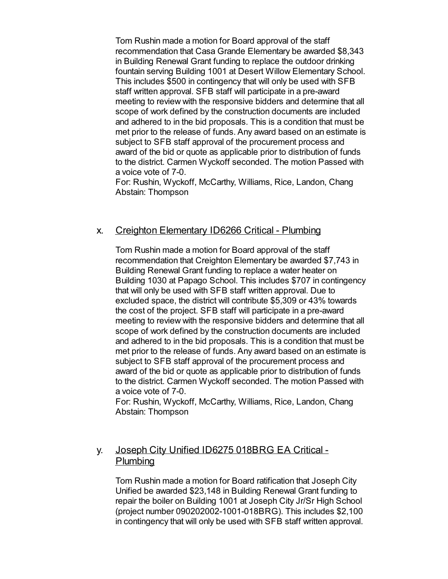Tom Rushin made a motion for Board approval of the staff recommendation that Casa Grande Elementary be awarded \$8,343 in Building Renewal Grant funding to replace the outdoor drinking fountain serving Building 1001 at Desert Willow Elementary School. This includes \$500 in contingency that will only be used with SFB staff written approval. SFB staff will participate in a pre-award meeting to review with the responsive bidders and determine that all scope of work defined by the construction documents are included and adhered to in the bid proposals. This is a condition that must be met prior to the release of funds. Any award based on an estimate is subject to SFB staff approval of the procurement process and award of the bid or quote as applicable prior to distribution of funds to the district. Carmen Wyckoff seconded. The motion Passed with a voice vote of 7-0.

For: Rushin, Wyckoff, McCarthy, Williams, Rice, Landon, Chang Abstain: Thompson

## x. Creighton Elementary ID6266 Critical - Plumbing

Tom Rushin made a motion for Board approval of the staff recommendation that Creighton Elementary be awarded \$7,743 in Building Renewal Grant funding to replace a water heater on Building 1030 at Papago School. This includes \$707 in contingency that will only be used with SFB staff written approval. Due to excluded space, the district will contribute \$5,309 or 43% towards the cost of the project. SFB staff will participate in a pre-award meeting to review with the responsive bidders and determine that all scope of work defined by the construction documents are included and adhered to in the bid proposals. This is a condition that must be met prior to the release of funds. Any award based on an estimate is subject to SFB staff approval of the procurement process and award of the bid or quote as applicable prior to distribution of funds to the district. Carmen Wyckoff seconded. The motion Passed with a voice vote of 7-0.

For: Rushin, Wyckoff, McCarthy, Williams, Rice, Landon, Chang Abstain: Thompson

## y. Joseph City Unified ID6275 018BRG EA Critical - Plumbing

Tom Rushin made a motion for Board ratification that Joseph City Unified be awarded \$23,148 in Building Renewal Grant funding to repair the boiler on Building 1001 at Joseph City Jr/Sr High School (project number 090202002-1001-018BRG). This includes \$2,100 in contingency that will only be used with SFB staff written approval.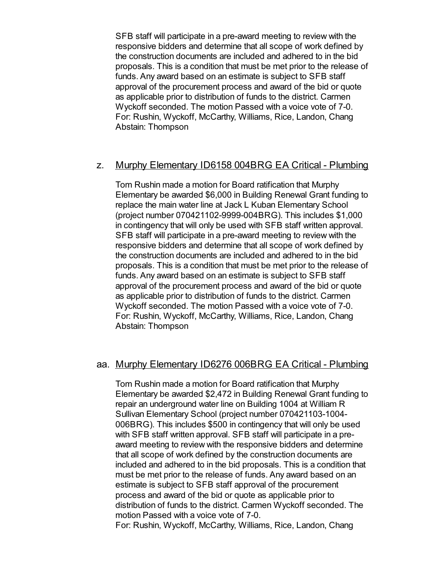SFB staff will participate in a pre-award meeting to review with the responsive bidders and determine that all scope of work defined by the construction documents are included and adhered to in the bid proposals. This is a condition that must be met prior to the release of funds. Any award based on an estimate is subject to SFB staff approval of the procurement process and award of the bid or quote as applicable prior to distribution of funds to the district. Carmen Wyckoff seconded. The motion Passed with a voice vote of 7-0. For: Rushin, Wyckoff, McCarthy, Williams, Rice, Landon, Chang Abstain: Thompson

## z. Murphy Elementary ID6158 004BRG EA Critical - Plumbing

Tom Rushin made a motion for Board ratification that Murphy Elementary be awarded \$6,000 in Building Renewal Grant funding to replace the main water line at Jack L Kuban Elementary School (project number 070421102-9999-004BRG). This includes \$1,000 in contingency that will only be used with SFB staff written approval. SFB staff will participate in a pre-award meeting to review with the responsive bidders and determine that all scope of work defined by the construction documents are included and adhered to in the bid proposals. This is a condition that must be met prior to the release of funds. Any award based on an estimate is subject to SFB staff approval of the procurement process and award of the bid or quote as applicable prior to distribution of funds to the district. Carmen Wyckoff seconded. The motion Passed with a voice vote of 7-0. For: Rushin, Wyckoff, McCarthy, Williams, Rice, Landon, Chang Abstain: Thompson

## aa. Murphy Elementary ID6276 006BRG EA Critical - Plumbing

Tom Rushin made a motion for Board ratification that Murphy Elementary be awarded \$2,472 in Building Renewal Grant funding to repair an underground water line on Building 1004 at William R Sullivan Elementary School (project number 070421103-1004- 006BRG). This includes \$500 in contingency that will only be used with SFB staff written approval. SFB staff will participate in a preaward meeting to review with the responsive bidders and determine that all scope of work defined by the construction documents are included and adhered to in the bid proposals. This is a condition that must be met prior to the release of funds. Any award based on an estimate is subject to SFB staff approval of the procurement process and award of the bid or quote as applicable prior to distribution of funds to the district. Carmen Wyckoff seconded. The motion Passed with a voice vote of 7-0. For: Rushin, Wyckoff, McCarthy, Williams, Rice, Landon, Chang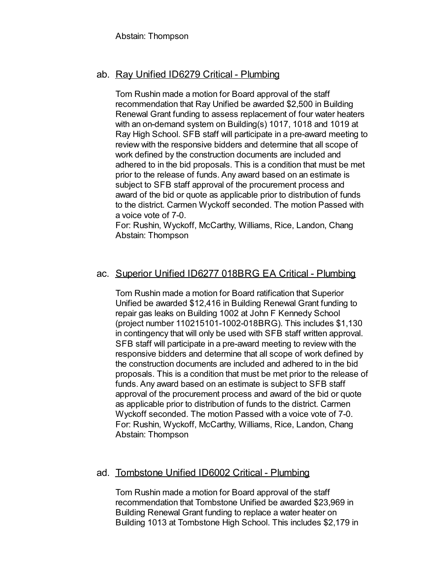Abstain: Thompson

## ab. Ray Unified ID6279 Critical - Plumbing

Tom Rushin made a motion for Board approval of the staff recommendation that Ray Unified be awarded \$2,500 in Building Renewal Grant funding to assess replacement of four water heaters with an on-demand system on Building(s) 1017, 1018 and 1019 at Ray High School. SFB staff will participate in a pre-award meeting to review with the responsive bidders and determine that all scope of work defined by the construction documents are included and adhered to in the bid proposals. This is a condition that must be met prior to the release of funds. Any award based on an estimate is subject to SFB staff approval of the procurement process and award of the bid or quote as applicable prior to distribution of funds to the district. Carmen Wyckoff seconded. The motion Passed with a voice vote of 7-0.

For: Rushin, Wyckoff, McCarthy, Williams, Rice, Landon, Chang Abstain: Thompson

## ac. Superior Unified ID6277 018BRG EA Critical - Plumbing

Tom Rushin made a motion for Board ratification that Superior Unified be awarded \$12,416 in Building Renewal Grant funding to repair gas leaks on Building 1002 at John F Kennedy School (project number 110215101-1002-018BRG). This includes \$1,130 in contingency that will only be used with SFB staff written approval. SFB staff will participate in a pre-award meeting to review with the responsive bidders and determine that all scope of work defined by the construction documents are included and adhered to in the bid proposals. This is a condition that must be met prior to the release of funds. Any award based on an estimate is subject to SFB staff approval of the procurement process and award of the bid or quote as applicable prior to distribution of funds to the district. Carmen Wyckoff seconded. The motion Passed with a voice vote of 7-0. For: Rushin, Wyckoff, McCarthy, Williams, Rice, Landon, Chang Abstain: Thompson

## ad. Tombstone Unified ID6002 Critical - Plumbing

Tom Rushin made a motion for Board approval of the staff recommendation that Tombstone Unified be awarded \$23,969 in Building Renewal Grant funding to replace a water heater on Building 1013 at Tombstone High School. This includes \$2,179 in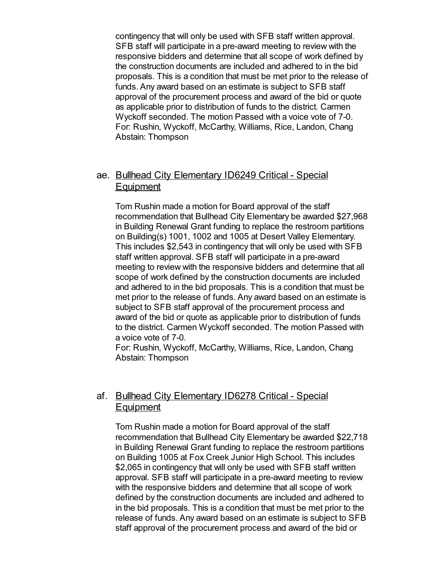contingency that will only be used with SFB staff written approval. SFB staff will participate in a pre-award meeting to review with the responsive bidders and determine that all scope of work defined by the construction documents are included and adhered to in the bid proposals. This is a condition that must be met prior to the release of funds. Any award based on an estimate is subject to SFB staff approval of the procurement process and award of the bid or quote as applicable prior to distribution of funds to the district. Carmen Wyckoff seconded. The motion Passed with a voice vote of 7-0. For: Rushin, Wyckoff, McCarthy, Williams, Rice, Landon, Chang Abstain: Thompson

## ae. Bullhead City Elementary ID6249 Critical - Special **Equipment**

Tom Rushin made a motion for Board approval of the staff recommendation that Bullhead City Elementary be awarded \$27,968 in Building Renewal Grant funding to replace the restroom partitions on Building(s) 1001, 1002 and 1005 at Desert Valley Elementary. This includes \$2,543 in contingency that will only be used with SFB staff written approval. SFB staff will participate in a pre-award meeting to review with the responsive bidders and determine that all scope of work defined by the construction documents are included and adhered to in the bid proposals. This is a condition that must be met prior to the release of funds. Any award based on an estimate is subject to SFB staff approval of the procurement process and award of the bid or quote as applicable prior to distribution of funds to the district. Carmen Wyckoff seconded. The motion Passed with a voice vote of 7-0.

For: Rushin, Wyckoff, McCarthy, Williams, Rice, Landon, Chang Abstain: Thompson

## af. Bullhead City Elementary ID6278 Critical - Special **Equipment**

Tom Rushin made a motion for Board approval of the staff recommendation that Bullhead City Elementary be awarded \$22,718 in Building Renewal Grant funding to replace the restroom partitions on Building 1005 at Fox Creek Junior High School. This includes \$2,065 in contingency that will only be used with SFB staff written approval. SFB staff will participate in a pre-award meeting to review with the responsive bidders and determine that all scope of work defined by the construction documents are included and adhered to in the bid proposals. This is a condition that must be met prior to the release of funds. Any award based on an estimate is subject to SFB staff approval of the procurement process and award of the bid or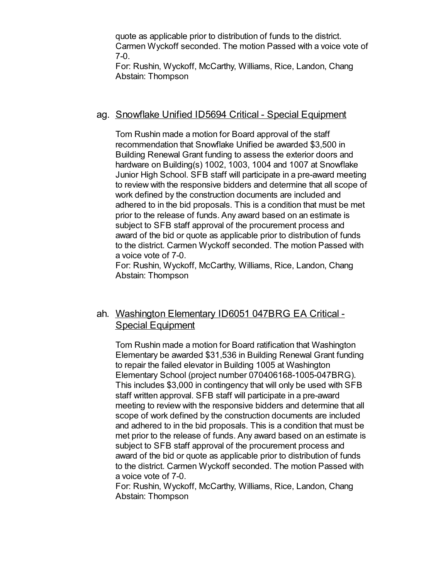quote as applicable prior to distribution of funds to the district. Carmen Wyckoff seconded. The motion Passed with a voice vote of 7-0.

For: Rushin, Wyckoff, McCarthy, Williams, Rice, Landon, Chang Abstain: Thompson

#### ag. Snowflake Unified ID5694 Critical - Special Equipment

Tom Rushin made a motion for Board approval of the staff recommendation that Snowflake Unified be awarded \$3,500 in Building Renewal Grant funding to assess the exterior doors and hardware on Building(s) 1002, 1003, 1004 and 1007 at Snowflake Junior High School. SFB staff will participate in a pre-award meeting to review with the responsive bidders and determine that all scope of work defined by the construction documents are included and adhered to in the bid proposals. This is a condition that must be met prior to the release of funds. Any award based on an estimate is subject to SFB staff approval of the procurement process and award of the bid or quote as applicable prior to distribution of funds to the district. Carmen Wyckoff seconded. The motion Passed with a voice vote of 7-0.

For: Rushin, Wyckoff, McCarthy, Williams, Rice, Landon, Chang Abstain: Thompson

## ah. Washington Elementary ID6051 047BRG EA Critical - Special Equipment

Tom Rushin made a motion for Board ratification that Washington Elementary be awarded \$31,536 in Building Renewal Grant funding to repair the failed elevator in Building 1005 at Washington Elementary School (project number 070406168-1005-047BRG). This includes \$3,000 in contingency that will only be used with SFB staff written approval. SFB staff will participate in a pre-award meeting to review with the responsive bidders and determine that all scope of work defined by the construction documents are included and adhered to in the bid proposals. This is a condition that must be met prior to the release of funds. Any award based on an estimate is subject to SFB staff approval of the procurement process and award of the bid or quote as applicable prior to distribution of funds to the district. Carmen Wyckoff seconded. The motion Passed with a voice vote of 7-0.

For: Rushin, Wyckoff, McCarthy, Williams, Rice, Landon, Chang Abstain: Thompson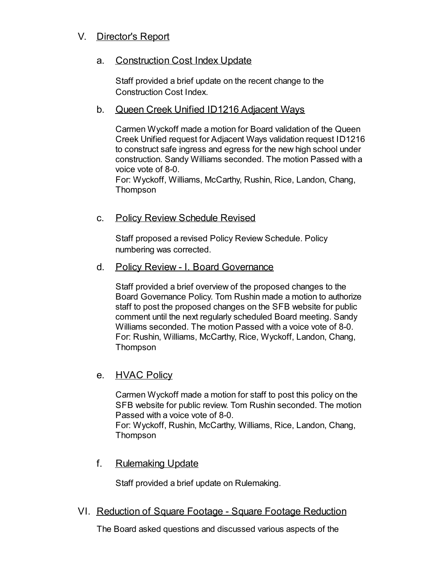# V. Director's Report

## a. Construction Cost Index Update

Staff provided a brief update on the recent change to the Construction Cost Index.

## b. Queen Creek Unified ID1216 Adjacent Ways

Carmen Wyckoff made a motion for Board validation of the Queen Creek Unified request for Adjacent Ways validation request ID1216 to construct safe ingress and egress for the new high school under construction. Sandy Williams seconded. The motion Passed with a voice vote of 8-0.

For: Wyckoff, Williams, McCarthy, Rushin, Rice, Landon, Chang, Thompson

## c. Policy Review Schedule Revised

Staff proposed a revised Policy Review Schedule. Policy numbering was corrected.

#### d. Policy Review - I. Board Governance

Staff provided a brief overview of the proposed changes to the Board Governance Policy. Tom Rushin made a motion to authorize staff to post the proposed changes on the SFB website for public comment until the next regularly scheduled Board meeting. Sandy Williams seconded. The motion Passed with a voice vote of 8-0. For: Rushin, Williams, McCarthy, Rice, Wyckoff, Landon, Chang, Thompson

## e. **HVAC Policy**

Carmen Wyckoff made a motion for staff to post this policy on the SFB website for public review. Tom Rushin seconded. The motion Passed with a voice vote of 8-0. For: Wyckoff, Rushin, McCarthy, Williams, Rice, Landon, Chang,

**Thompson** 

f. Rulemaking Update

Staff provided a brief update on Rulemaking.

VI. Reduction of Square Footage - Square Footage Reduction

The Board asked questions and discussed various aspects of the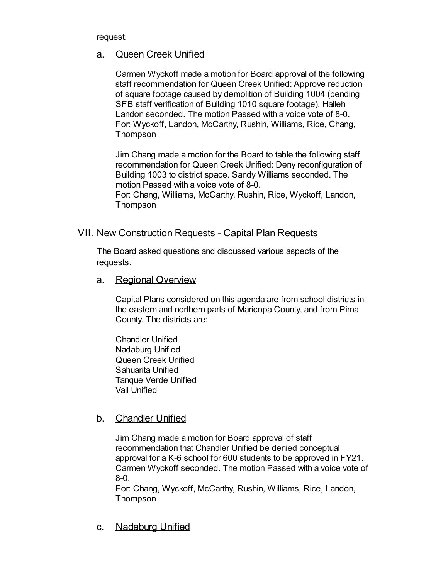request.

## a. Queen Creek Unified

Carmen Wyckoff made a motion for Board approval of the following staff recommendation for Queen Creek Unified: Approve reduction of square footage caused by demolition of Building 1004 (pending SFB staff verification of Building 1010 square footage). Halleh Landon seconded. The motion Passed with a voice vote of 8-0. For: Wyckoff, Landon, McCarthy, Rushin, Williams, Rice, Chang, Thompson

Jim Chang made a motion for the Board to table the following staff recommendation for Queen Creek Unified: Deny reconfiguration of Building 1003 to district space. Sandy Williams seconded. The motion Passed with a voice vote of 8-0.

For: Chang, Williams, McCarthy, Rushin, Rice, Wyckoff, Landon, Thompson

## VII. New Construction Requests - Capital Plan Requests

The Board asked questions and discussed various aspects of the requests.

a. Regional Overview

Capital Plans considered on this agenda are from school districts in the eastern and northern parts of Maricopa County, and from Pima County. The districts are:

Chandler Unified Nadaburg Unified Queen Creek Unified Sahuarita Unified Tanque Verde Unified Vail Unified

## b. Chandler Unified

Jim Chang made a motion for Board approval of staff recommendation that Chandler Unified be denied conceptual approval for a K-6 school for 600 students to be approved in FY21. Carmen Wyckoff seconded. The motion Passed with a voice vote of 8-0.

For: Chang, Wyckoff, McCarthy, Rushin, Williams, Rice, Landon, Thompson

c. Nadaburg Unified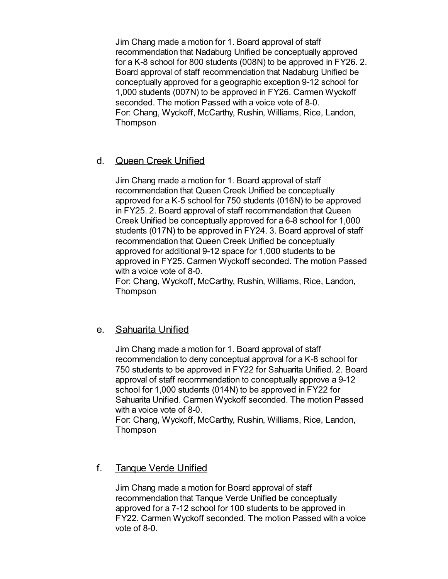Jim Chang made a motion for 1. Board approval of staff recommendation that Nadaburg Unified be conceptually approved for a K-8 school for 800 students (008N) to be approved in FY26. 2. Board approval of staff recommendation that Nadaburg Unified be conceptually approved for a geographic exception 9-12 school for 1,000 students (007N) to be approved in FY26. Carmen Wyckoff seconded. The motion Passed with a voice vote of 8-0. For: Chang, Wyckoff, McCarthy, Rushin, Williams, Rice, Landon, Thompson

## d. Queen Creek Unified

Jim Chang made a motion for 1. Board approval of staff recommendation that Queen Creek Unified be conceptually approved for a K-5 school for 750 students (016N) to be approved in FY25. 2. Board approval of staff recommendation that Queen Creek Unified be conceptually approved for a 6-8 school for 1,000 students (017N) to be approved in FY24. 3. Board approval of staff recommendation that Queen Creek Unified be conceptually approved for additional 9-12 space for 1,000 students to be approved in FY25. Carmen Wyckoff seconded. The motion Passed with a voice vote of 8-0.

For: Chang, Wyckoff, McCarthy, Rushin, Williams, Rice, Landon, **Thompson** 

## e. Sahuarita Unified

Jim Chang made a motion for 1. Board approval of staff recommendation to deny conceptual approval for a K-8 school for 750 students to be approved in FY22 for Sahuarita Unified. 2. Board approval of staff recommendation to conceptually approve a 9-12 school for 1,000 students (014N) to be approved in FY22 for Sahuarita Unified. Carmen Wyckoff seconded. The motion Passed with a voice vote of 8-0.

For: Chang, Wyckoff, McCarthy, Rushin, Williams, Rice, Landon, Thompson

## f. Tanque Verde Unified

Jim Chang made a motion for Board approval of staff recommendation that Tanque Verde Unified be conceptually approved for a 7-12 school for 100 students to be approved in FY22. Carmen Wyckoff seconded. The motion Passed with a voice vote of 8-0.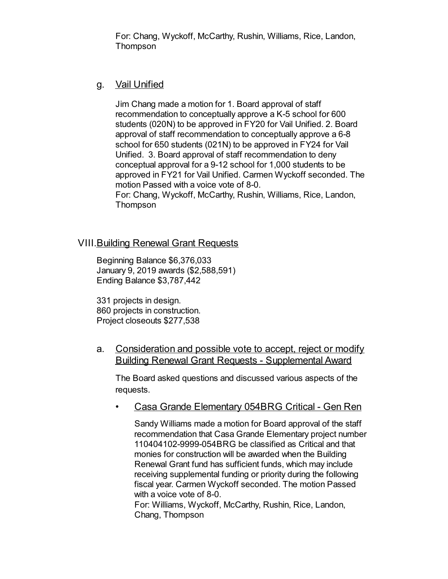For: Chang, Wyckoff, McCarthy, Rushin, Williams, Rice, Landon, **Thompson** 

## g. Vail Unified

Jim Chang made a motion for 1. Board approval of staff recommendation to conceptually approve a K-5 school for 600 students (020N) to be approved in FY20 for Vail Unified. 2. Board approval of staff recommendation to conceptually approve a 6-8 school for 650 students (021N) to be approved in FY24 for Vail Unified. 3. Board approval of staff recommendation to deny conceptual approval for a 9-12 school for 1,000 students to be approved in FY21 for Vail Unified. Carmen Wyckoff seconded. The motion Passed with a voice vote of 8-0. For: Chang, Wyckoff, McCarthy, Rushin, Williams, Rice, Landon, Thompson

## VIII.Building Renewal Grant Requests

Beginning Balance \$6,376,033 January 9, 2019 awards (\$2,588,591) Ending Balance \$3,787,442

331 projects in design. 860 projects in construction. Project closeouts \$277,538

a. Consideration and possible vote to accept, reject or modify Building Renewal Grant Requests - Supplemental Award

The Board asked questions and discussed various aspects of the requests.

• Casa Grande Elementary 054BRG Critical - Gen Ren

Sandy Williams made a motion for Board approval of the staff recommendation that Casa Grande Elementary project number 110404102-9999-054BRG be classified as Critical and that monies for construction will be awarded when the Building Renewal Grant fund has sufficient funds, which may include receiving supplemental funding or priority during the following fiscal year. Carmen Wyckoff seconded. The motion Passed with a voice vote of 8-0.

For: Williams, Wyckoff, McCarthy, Rushin, Rice, Landon, Chang, Thompson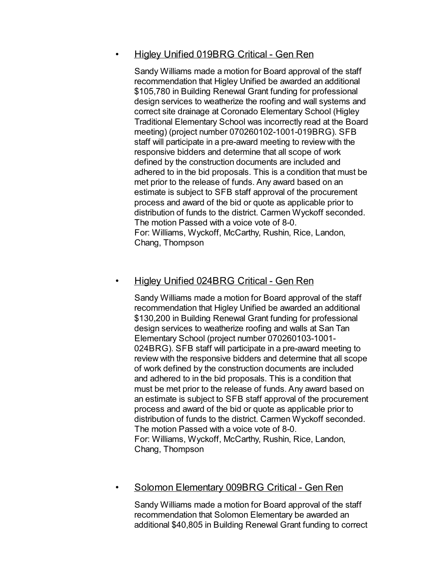## • Higley Unified 019BRG Critical - Gen Ren

Sandy Williams made a motion for Board approval of the staff recommendation that Higley Unified be awarded an additional \$105,780 in Building Renewal Grant funding for professional design services to weatherize the roofing and wall systems and correct site drainage at Coronado Elementary School (Higley Traditional Elementary School was incorrectly read at the Board meeting) (project number 070260102-1001-019BRG). SFB staff will participate in a pre-award meeting to review with the responsive bidders and determine that all scope of work defined by the construction documents are included and adhered to in the bid proposals. This is a condition that must be met prior to the release of funds. Any award based on an estimate is subject to SFB staff approval of the procurement process and award of the bid or quote as applicable prior to distribution of funds to the district. Carmen Wyckoff seconded. The motion Passed with a voice vote of 8-0. For: Williams, Wyckoff, McCarthy, Rushin, Rice, Landon, Chang, Thompson

## • Higley Unified 024BRG Critical - Gen Ren

Sandy Williams made a motion for Board approval of the staff recommendation that Higley Unified be awarded an additional \$130,200 in Building Renewal Grant funding for professional design services to weatherize roofing and walls at San Tan Elementary School (project number 070260103-1001- 024BRG). SFB staff will participate in a pre-award meeting to review with the responsive bidders and determine that all scope of work defined by the construction documents are included and adhered to in the bid proposals. This is a condition that must be met prior to the release of funds. Any award based on an estimate is subject to SFB staff approval of the procurement process and award of the bid or quote as applicable prior to distribution of funds to the district. Carmen Wyckoff seconded. The motion Passed with a voice vote of 8-0. For: Williams, Wyckoff, McCarthy, Rushin, Rice, Landon, Chang, Thompson

## • Solomon Elementary 009BRG Critical - Gen Ren

Sandy Williams made a motion for Board approval of the staff recommendation that Solomon Elementary be awarded an additional \$40,805 in Building Renewal Grant funding to correct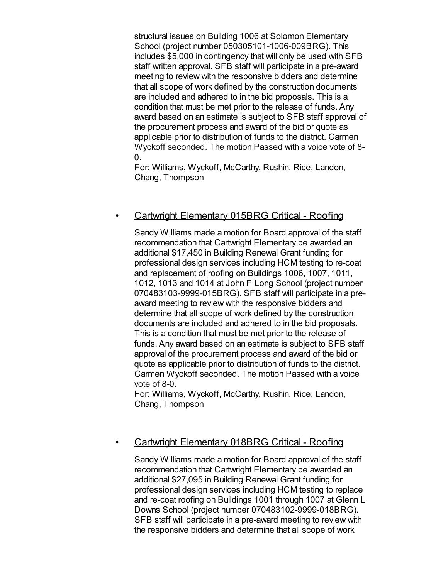structural issues on Building 1006 at Solomon Elementary School (project number 050305101-1006-009BRG). This includes \$5,000 in contingency that will only be used with SFB staff written approval. SFB staff will participate in a pre-award meeting to review with the responsive bidders and determine that all scope of work defined by the construction documents are included and adhered to in the bid proposals. This is a condition that must be met prior to the release of funds. Any award based on an estimate is subject to SFB staff approval of the procurement process and award of the bid or quote as applicable prior to distribution of funds to the district. Carmen Wyckoff seconded. The motion Passed with a voice vote of 8-  $\overline{0}$ .

For: Williams, Wyckoff, McCarthy, Rushin, Rice, Landon, Chang, Thompson

#### • Cartwright Elementary 015BRG Critical - Roofing

Sandy Williams made a motion for Board approval of the staff recommendation that Cartwright Elementary be awarded an additional \$17,450 in Building Renewal Grant funding for professional design services including HCM testing to re-coat and replacement of roofing on Buildings 1006, 1007, 1011, 1012, 1013 and 1014 at John F Long School (project number 070483103-9999-015BRG). SFB staff will participate in a preaward meeting to review with the responsive bidders and determine that all scope of work defined by the construction documents are included and adhered to in the bid proposals. This is a condition that must be met prior to the release of funds. Any award based on an estimate is subject to SFB staff approval of the procurement process and award of the bid or quote as applicable prior to distribution of funds to the district. Carmen Wyckoff seconded. The motion Passed with a voice vote of 8-0.

For: Williams, Wyckoff, McCarthy, Rushin, Rice, Landon, Chang, Thompson

## • Cartwright Elementary 018BRG Critical - Roofing

Sandy Williams made a motion for Board approval of the staff recommendation that Cartwright Elementary be awarded an additional \$27,095 in Building Renewal Grant funding for professional design services including HCM testing to replace and re-coat roofing on Buildings 1001 through 1007 at Glenn L Downs School (project number 070483102-9999-018BRG). SFB staff will participate in a pre-award meeting to review with the responsive bidders and determine that all scope of work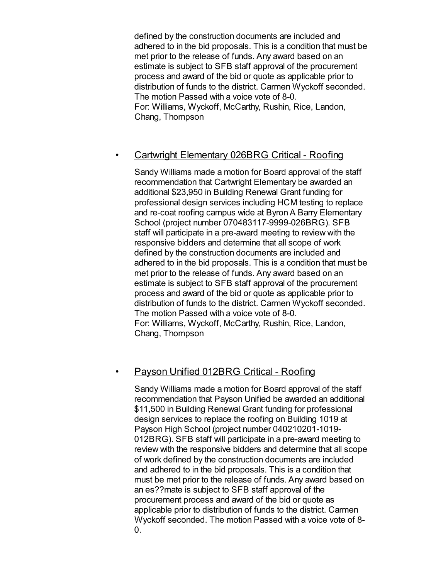defined by the construction documents are included and adhered to in the bid proposals. This is a condition that must be met prior to the release of funds. Any award based on an estimate is subject to SFB staff approval of the procurement process and award of the bid or quote as applicable prior to distribution of funds to the district. Carmen Wyckoff seconded. The motion Passed with a voice vote of 8-0. For: Williams, Wyckoff, McCarthy, Rushin, Rice, Landon, Chang, Thompson

## • Cartwright Elementary 026BRG Critical - Roofing

Sandy Williams made a motion for Board approval of the staff recommendation that Cartwright Elementary be awarded an additional \$23,950 in Building Renewal Grant funding for professional design services including HCM testing to replace and re-coat roofing campus wide at Byron A Barry Elementary School (project number 070483117-9999-026BRG). SFB staff will participate in a pre-award meeting to review with the responsive bidders and determine that all scope of work defined by the construction documents are included and adhered to in the bid proposals. This is a condition that must be met prior to the release of funds. Any award based on an estimate is subject to SFB staff approval of the procurement process and award of the bid or quote as applicable prior to distribution of funds to the district. Carmen Wyckoff seconded. The motion Passed with a voice vote of 8-0. For: Williams, Wyckoff, McCarthy, Rushin, Rice, Landon, Chang, Thompson

## • Payson Unified 012BRG Critical - Roofing

Sandy Williams made a motion for Board approval of the staff recommendation that Payson Unified be awarded an additional \$11,500 in Building Renewal Grant funding for professional design services to replace the roofing on Building 1019 at Payson High School (project number 040210201-1019- 012BRG). SFB staff will participate in a pre-award meeting to review with the responsive bidders and determine that all scope of work defined by the construction documents are included and adhered to in the bid proposals. This is a condition that must be met prior to the release of funds. Any award based on an es??mate is subject to SFB staff approval of the procurement process and award of the bid or quote as applicable prior to distribution of funds to the district. Carmen Wyckoff seconded. The motion Passed with a voice vote of 8- 0.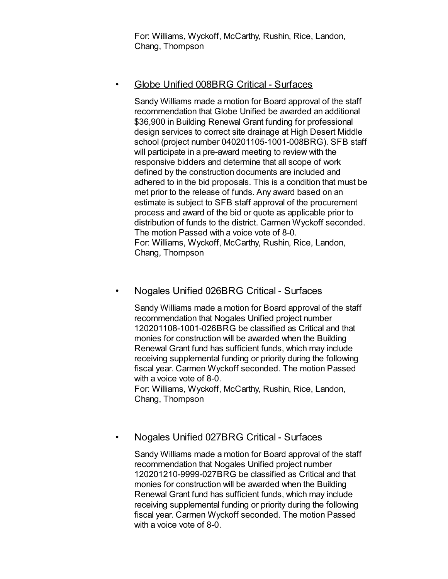For: Williams, Wyckoff, McCarthy, Rushin, Rice, Landon, Chang, Thompson

## • Globe Unified 008BRG Critical - Surfaces

Sandy Williams made a motion for Board approval of the staff recommendation that Globe Unified be awarded an additional \$36,900 in Building Renewal Grant funding for professional design services to correct site drainage at High Desert Middle school (project number 040201105-1001-008BRG). SFB staff will participate in a pre-award meeting to review with the responsive bidders and determine that all scope of work defined by the construction documents are included and adhered to in the bid proposals. This is a condition that must be met prior to the release of funds. Any award based on an estimate is subject to SFB staff approval of the procurement process and award of the bid or quote as applicable prior to distribution of funds to the district. Carmen Wyckoff seconded. The motion Passed with a voice vote of 8-0. For: Williams, Wyckoff, McCarthy, Rushin, Rice, Landon, Chang, Thompson

## • Nogales Unified 026BRG Critical - Surfaces

Sandy Williams made a motion for Board approval of the staff recommendation that Nogales Unified project number 120201108-1001-026BRG be classified as Critical and that monies for construction will be awarded when the Building Renewal Grant fund has sufficient funds, which may include receiving supplemental funding or priority during the following fiscal year. Carmen Wyckoff seconded. The motion Passed with a voice vote of 8-0.

For: Williams, Wyckoff, McCarthy, Rushin, Rice, Landon, Chang, Thompson

## • Nogales Unified 027BRG Critical - Surfaces

Sandy Williams made a motion for Board approval of the staff recommendation that Nogales Unified project number 120201210-9999-027BRG be classified as Critical and that monies for construction will be awarded when the Building Renewal Grant fund has sufficient funds, which may include receiving supplemental funding or priority during the following fiscal year. Carmen Wyckoff seconded. The motion Passed with a voice vote of 8-0.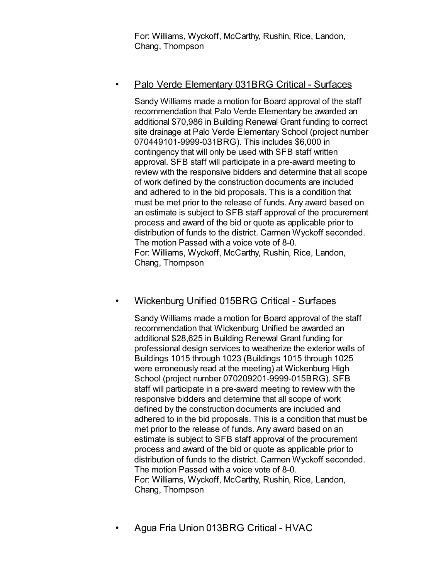For: Williams, Wyckoff, McCarthy, Rushin, Rice, Landon, Chang, Thompson

## • Palo Verde Elementary 031BRG Critical - Surfaces

Sandy Williams made a motion for Board approval of the staff recommendation that Palo Verde Elementary be awarded an additional \$70,986 in Building Renewal Grant funding to correct site drainage at Palo Verde Elementary School (project number 070449101-9999-031BRG). This includes \$6,000 in contingency that will only be used with SFB staff written approval. SFB staff will participate in a pre-award meeting to review with the responsive bidders and determine that all scope of work defined by the construction documents are included and adhered to in the bid proposals. This is a condition that must be met prior to the release of funds. Any award based on an estimate is subject to SFB staff approval of the procurement process and award of the bid or quote as applicable prior to distribution of funds to the district. Carmen Wyckoff seconded. The motion Passed with a voice vote of 8-0. For: Williams, Wyckoff, McCarthy, Rushin, Rice, Landon, Chang, Thompson

## • Wickenburg Unified 015BRG Critical - Surfaces

Sandy Williams made a motion for Board approval of the staff recommendation that Wickenburg Unified be awarded an additional \$28,625 in Building Renewal Grant funding for professional design services to weatherize the exterior walls of Buildings 1015 through 1023 (Buildings 1015 through 1025 were erroneously read at the meeting) at Wickenburg High School (project number 070209201-9999-015BRG). SFB staff will participate in a pre-award meeting to review with the responsive bidders and determine that all scope of work defined by the construction documents are included and adhered to in the bid proposals. This is a condition that must be met prior to the release of funds. Any award based on an estimate is subject to SFB staff approval of the procurement process and award of the bid or quote as applicable prior to distribution of funds to the district. Carmen Wyckoff seconded. The motion Passed with a voice vote of 8-0. For: Williams, Wyckoff, McCarthy, Rushin, Rice, Landon, Chang, Thompson

• Agua Fria Union 013BRG Critical - HVAC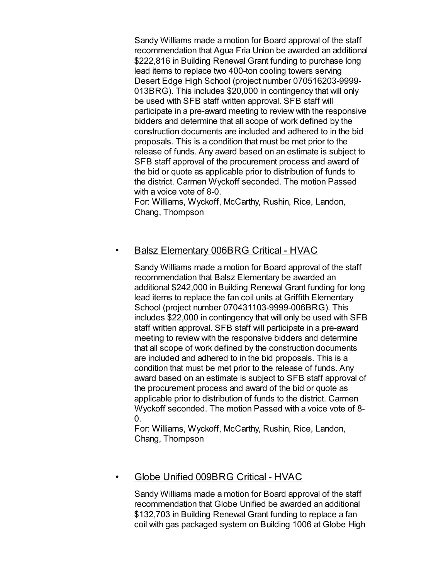Sandy Williams made a motion for Board approval of the staff recommendation that Agua Fria Union be awarded an additional \$222,816 in Building Renewal Grant funding to purchase long lead items to replace two 400-ton cooling towers serving Desert Edge High School (project number 070516203-9999- 013BRG). This includes \$20,000 in contingency that will only be used with SFB staff written approval. SFB staff will participate in a pre-award meeting to review with the responsive bidders and determine that all scope of work defined by the construction documents are included and adhered to in the bid proposals. This is a condition that must be met prior to the release of funds. Any award based on an estimate is subject to SFB staff approval of the procurement process and award of the bid or quote as applicable prior to distribution of funds to the district. Carmen Wyckoff seconded. The motion Passed with a voice vote of 8-0.

For: Williams, Wyckoff, McCarthy, Rushin, Rice, Landon, Chang, Thompson

## • Balsz Elementary 006BRG Critical - HVAC

Sandy Williams made a motion for Board approval of the staff recommendation that Balsz Elementary be awarded an additional \$242,000 in Building Renewal Grant funding for long lead items to replace the fan coil units at Griffith Elementary School (project number 070431103-9999-006BRG). This includes \$22,000 in contingency that will only be used with SFB staff written approval. SFB staff will participate in a pre-award meeting to review with the responsive bidders and determine that all scope of work defined by the construction documents are included and adhered to in the bid proposals. This is a condition that must be met prior to the release of funds. Any award based on an estimate is subject to SFB staff approval of the procurement process and award of the bid or quote as applicable prior to distribution of funds to the district. Carmen Wyckoff seconded. The motion Passed with a voice vote of 8- 0.

For: Williams, Wyckoff, McCarthy, Rushin, Rice, Landon, Chang, Thompson

## • Globe Unified 009BRG Critical - HVAC

Sandy Williams made a motion for Board approval of the staff recommendation that Globe Unified be awarded an additional \$132,703 in Building Renewal Grant funding to replace a fan coil with gas packaged system on Building 1006 at Globe High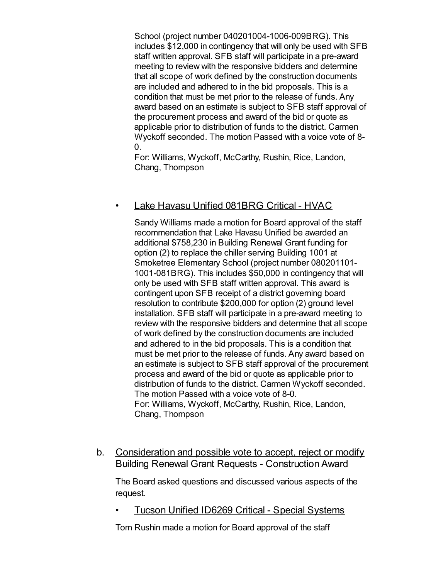School (project number 040201004-1006-009BRG). This includes \$12,000 in contingency that will only be used with SFB staff written approval. SFB staff will participate in a pre-award meeting to review with the responsive bidders and determine that all scope of work defined by the construction documents are included and adhered to in the bid proposals. This is a condition that must be met prior to the release of funds. Any award based on an estimate is subject to SFB staff approval of the procurement process and award of the bid or quote as applicable prior to distribution of funds to the district. Carmen Wyckoff seconded. The motion Passed with a voice vote of 8- 0.

For: Williams, Wyckoff, McCarthy, Rushin, Rice, Landon, Chang, Thompson

#### • Lake Havasu Unified 081BRG Critical - HVAC

Sandy Williams made a motion for Board approval of the staff recommendation that Lake Havasu Unified be awarded an additional \$758,230 in Building Renewal Grant funding for option (2) to replace the chiller serving Building 1001 at Smoketree Elementary School (project number 080201101- 1001-081BRG). This includes \$50,000 in contingency that will only be used with SFB staff written approval. This award is contingent upon SFB receipt of a district governing board resolution to contribute \$200,000 for option (2) ground level installation. SFB staff will participate in a pre-award meeting to review with the responsive bidders and determine that all scope of work defined by the construction documents are included and adhered to in the bid proposals. This is a condition that must be met prior to the release of funds. Any award based on an estimate is subject to SFB staff approval of the procurement process and award of the bid or quote as applicable prior to distribution of funds to the district. Carmen Wyckoff seconded. The motion Passed with a voice vote of 8-0. For: Williams, Wyckoff, McCarthy, Rushin, Rice, Landon, Chang, Thompson

b. Consideration and possible vote to accept, reject or modify Building Renewal Grant Requests - Construction Award

The Board asked questions and discussed various aspects of the request.

• Tucson Unified ID6269 Critical - Special Systems

Tom Rushin made a motion for Board approval of the staff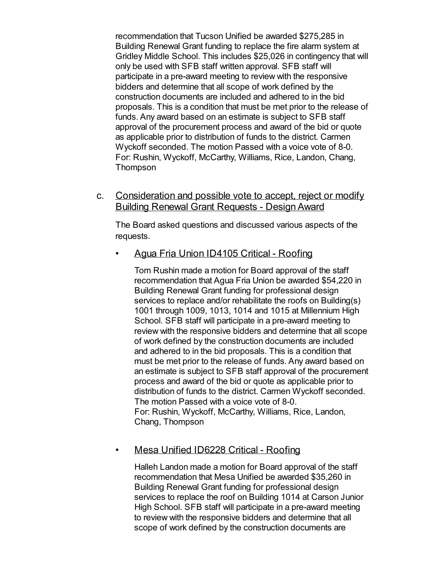recommendation that Tucson Unified be awarded \$275,285 in Building Renewal Grant funding to replace the fire alarm system at Gridley Middle School. This includes \$25,026 in contingency that will only be used with SFB staff written approval. SFB staff will participate in a pre-award meeting to review with the responsive bidders and determine that all scope of work defined by the construction documents are included and adhered to in the bid proposals. This is a condition that must be met prior to the release of funds. Any award based on an estimate is subject to SFB staff approval of the procurement process and award of the bid or quote as applicable prior to distribution of funds to the district. Carmen Wyckoff seconded. The motion Passed with a voice vote of 8-0. For: Rushin, Wyckoff, McCarthy, Williams, Rice, Landon, Chang, Thompson

c. Consideration and possible vote to accept, reject or modify Building Renewal Grant Requests - Design Award

The Board asked questions and discussed various aspects of the requests.

• Agua Fria Union ID4105 Critical - Roofing

Tom Rushin made a motion for Board approval of the staff recommendation that Agua Fria Union be awarded \$54,220 in Building Renewal Grant funding for professional design services to replace and/or rehabilitate the roofs on Building(s) 1001 through 1009, 1013, 1014 and 1015 at Millennium High School. SFB staff will participate in a pre-award meeting to review with the responsive bidders and determine that all scope of work defined by the construction documents are included and adhered to in the bid proposals. This is a condition that must be met prior to the release of funds. Any award based on an estimate is subject to SFB staff approval of the procurement process and award of the bid or quote as applicable prior to distribution of funds to the district. Carmen Wyckoff seconded. The motion Passed with a voice vote of 8-0. For: Rushin, Wyckoff, McCarthy, Williams, Rice, Landon, Chang, Thompson

## • Mesa Unified ID6228 Critical - Roofing

Halleh Landon made a motion for Board approval of the staff recommendation that Mesa Unified be awarded \$35,260 in Building Renewal Grant funding for professional design services to replace the roof on Building 1014 at Carson Junior High School. SFB staff will participate in a pre-award meeting to review with the responsive bidders and determine that all scope of work defined by the construction documents are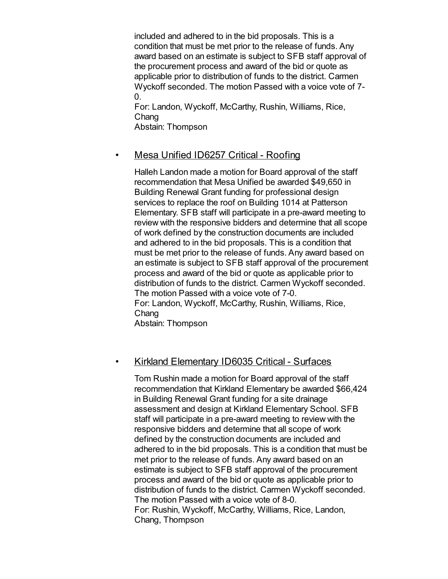included and adhered to in the bid proposals. This is a condition that must be met prior to the release of funds. Any award based on an estimate is subject to SFB staff approval of the procurement process and award of the bid or quote as applicable prior to distribution of funds to the district. Carmen Wyckoff seconded. The motion Passed with a voice vote of 7-  $\overline{0}$ .

For: Landon, Wyckoff, McCarthy, Rushin, Williams, Rice, Chang Abstain: Thompson

## • Mesa Unified ID6257 Critical - Roofing

Halleh Landon made a motion for Board approval of the staff recommendation that Mesa Unified be awarded \$49,650 in Building Renewal Grant funding for professional design services to replace the roof on Building 1014 at Patterson Elementary. SFB staff will participate in a pre-award meeting to review with the responsive bidders and determine that all scope of work defined by the construction documents are included and adhered to in the bid proposals. This is a condition that must be met prior to the release of funds. Any award based on an estimate is subject to SFB staff approval of the procurement process and award of the bid or quote as applicable prior to distribution of funds to the district. Carmen Wyckoff seconded. The motion Passed with a voice vote of 7-0. For: Landon, Wyckoff, McCarthy, Rushin, Williams, Rice, **Chang** Abstain: Thompson

## • Kirkland Elementary ID6035 Critical - Surfaces

Tom Rushin made a motion for Board approval of the staff recommendation that Kirkland Elementary be awarded \$66,424 in Building Renewal Grant funding for a site drainage assessment and design at Kirkland Elementary School. SFB staff will participate in a pre-award meeting to review with the responsive bidders and determine that all scope of work defined by the construction documents are included and adhered to in the bid proposals. This is a condition that must be met prior to the release of funds. Any award based on an estimate is subject to SFB staff approval of the procurement process and award of the bid or quote as applicable prior to distribution of funds to the district. Carmen Wyckoff seconded. The motion Passed with a voice vote of 8-0. For: Rushin, Wyckoff, McCarthy, Williams, Rice, Landon, Chang, Thompson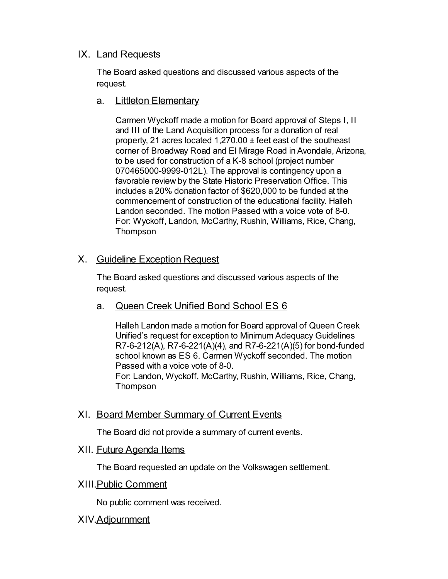## IX. Land Requests

The Board asked questions and discussed various aspects of the request.

a. Littleton Elementary

Carmen Wyckoff made a motion for Board approval of Steps I, II and III of the Land Acquisition process for a donation of real property, 21 acres located 1,270.00 ± feet east of the southeast corner of Broadway Road and El Mirage Road in Avondale, Arizona, to be used for construction of a K-8 school (project number 070465000-9999-012L). The approval is contingency upon a favorable review by the State Historic Preservation Office. This includes a 20% donation factor of \$620,000 to be funded at the commencement of construction of the educational facility. Halleh Landon seconded. The motion Passed with a voice vote of 8-0. For: Wyckoff, Landon, McCarthy, Rushin, Williams, Rice, Chang, Thompson

## X. Guideline Exception Request

The Board asked questions and discussed various aspects of the request.

a. Queen Creek Unified Bond School ES 6

Halleh Landon made a motion for Board approval of Queen Creek Unified's request for exception to Minimum Adequacy Guidelines R7-6-212(A), R7-6-221(A)(4), and R7-6-221(A)(5) for bond-funded school known as ES 6. Carmen Wyckoff seconded. The motion Passed with a voice vote of 8-0. For: Landon, Wyckoff, McCarthy, Rushin, Williams, Rice, Chang, Thompson

## XI. Board Member Summary of Current Events

The Board did not provide a summary of current events.

## XII. Future Agenda Items

The Board requested an update on the Volkswagen settlement.

## XIII.Public Comment

No public comment was received.

## XIV.Adjournment